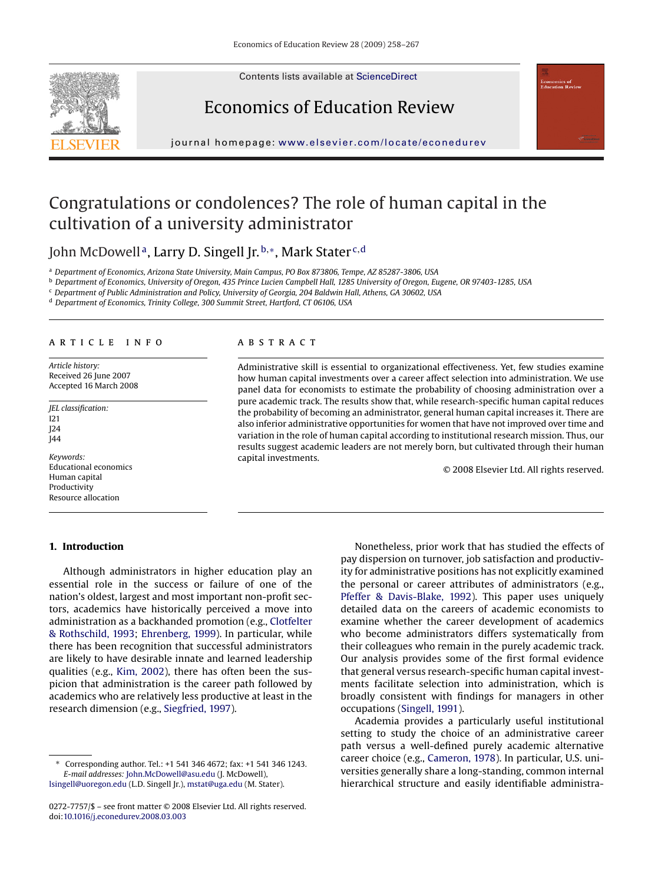Contents lists available at [ScienceDirect](http://www.sciencedirect.com/science/journal/02727757)







journal homepage: [www.elsevier.com/locate/econedurev](http://www.elsevier.com/locate/econedurev)

# Congratulations or condolences? The role of human capital in the cultivation of a university administrator

John McDowell<sup>a</sup>, Larry D. Singell Jr.<sup>b,∗</sup>, Mark Stater<sup>c,d</sup>

<sup>a</sup> *Department of Economics, Arizona State University, Main Campus, PO Box 873806, Tempe, AZ 85287-3806, USA*

<sup>b</sup> *Department of Economics, University of Oregon, 435 Prince Lucien Campbell Hall, 1285 University of Oregon, Eugene, OR 97403-1285, USA*

<sup>c</sup> *Department of Public Administration and Policy, University of Georgia, 204 Baldwin Hall, Athens, GA 30602, USA*

<sup>d</sup> *Department of Economics, Trinity College, 300 Summit Street, Hartford, CT 06106, USA*

### article info

*Article history:* Received 26 June 2007 Accepted 16 March 2008

*JEL classification:* I21 J24

J44

*Keywords:* Educational economics Human capital Productivity Resource allocation

## **1. Introduction**

# **ABSTRACT**

Administrative skill is essential to organizational effectiveness. Yet, few studies examine how human capital investments over a career affect selection into administration. We use panel data for economists to estimate the probability of choosing administration over a pure academic track. The results show that, while research-specific human capital reduces the probability of becoming an administrator, general human capital increases it. There are also inferior administrative opportunities for women that have not improved over time and variation in the role of human capital according to institutional research mission. Thus, our results suggest academic leaders are not merely born, but cultivated through their human capital investments.

© 2008 Elsevier Ltd. All rights reserved.

Although administrators in higher education play an essential role in the success or failure of one of the nation's oldest, largest and most important non-profit sectors, academics have historically perceived a move into administration as a backhanded promotion (e.g., [Clotfelter](#page--1-0) [& Rothschild, 1993;](#page--1-0) [Ehrenberg, 1999\).](#page--1-0) In particular, while there has been recognition that successful administrators are likely to have desirable innate and learned leadership qualities (e.g., [Kim, 2002\),](#page--1-0) there has often been the suspicion that administration is the career path followed by academics who are relatively less productive at least in the research dimension (e.g., [Siegfried, 1997\).](#page--1-0)

Nonetheless, prior work that has studied the effects of pay dispersion on turnover, job satisfaction and productivity for administrative positions has not explicitly examined the personal or career attributes of administrators (e.g., [Pfeffer & Davis-Blake, 1992\).](#page--1-0) This paper uses uniquely detailed data on the careers of academic economists to examine whether the career development of academics who become administrators differs systematically from their colleagues who remain in the purely academic track. Our analysis provides some of the first formal evidence that general versus research-specific human capital investments facilitate selection into administration, which is broadly consistent with findings for managers in other occupations [\(Singell, 1991\).](#page--1-0)

Academia provides a particularly useful institutional setting to study the choice of an administrative career path versus a well-defined purely academic alternative career choice (e.g., [Cameron, 1978\).](#page--1-0) In particular, U.S. universities generally share a long-standing, common internal hierarchical structure and easily identifiable administra-

<sup>∗</sup> Corresponding author. Tel.: +1 541 346 4672; fax: +1 541 346 1243. *E-mail addresses:* [John.McDowell@asu.edu](mailto:John.McDowell@asu.edu) (J. McDowell),

[lsingell@uoregon.edu](mailto:lsingell@uoregon.edu) (L.D. Singell Jr.), [mstat@uga.edu](mailto:mstat@uga.edu) (M. Stater).

<sup>0272-7757/\$ –</sup> see front matter © 2008 Elsevier Ltd. All rights reserved. doi[:10.1016/j.econedurev.2008.03.003](dx.doi.org/10.1016/j.econedurev.2008.03.003)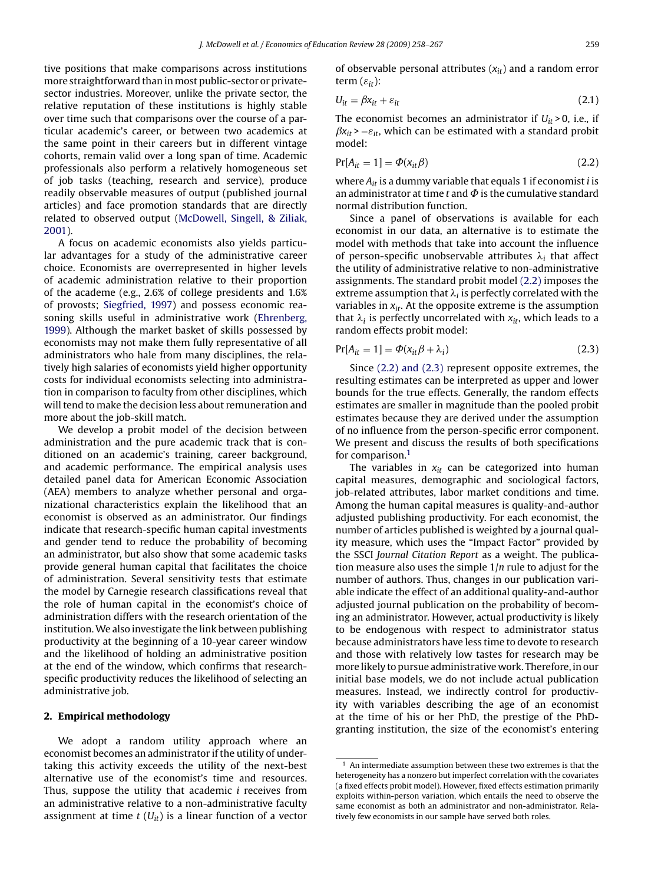tive positions that make comparisons across institutions more straightforward than in most public-sector or privatesector industries. Moreover, unlike the private sector, the relative reputation of these institutions is highly stable over time such that comparisons over the course of a particular academic's career, or between two academics at the same point in their careers but in different vintage cohorts, remain valid over a long span of time. Academic professionals also perform a relatively homogeneous set of job tasks (teaching, research and service), produce readily observable measures of output (published journal articles) and face promotion standards that are directly related to observed output [\(McDowell, Singell, & Ziliak,](#page--1-0) [2001\).](#page--1-0)

A focus on academic economists also yields particular advantages for a study of the administrative career choice. Economists are overrepresented in higher levels of academic administration relative to their proportion of the academe (e.g., 2.6% of college presidents and 1.6% of provosts; [Siegfried, 1997\)](#page--1-0) and possess economic reasoning skills useful in administrative work ([Ehrenberg,](#page--1-0) [1999\).](#page--1-0) Although the market basket of skills possessed by economists may not make them fully representative of all administrators who hale from many disciplines, the relatively high salaries of economists yield higher opportunity costs for individual economists selecting into administration in comparison to faculty from other disciplines, which will tend to make the decision less about remuneration and more about the job-skill match.

We develop a probit model of the decision between administration and the pure academic track that is conditioned on an academic's training, career background, and academic performance. The empirical analysis uses detailed panel data for American Economic Association (AEA) members to analyze whether personal and organizational characteristics explain the likelihood that an economist is observed as an administrator. Our findings indicate that research-specific human capital investments and gender tend to reduce the probability of becoming an administrator, but also show that some academic tasks provide general human capital that facilitates the choice of administration. Several sensitivity tests that estimate the model by Carnegie research classifications reveal that the role of human capital in the economist's choice of administration differs with the research orientation of the institution.We also investigate the link between publishing productivity at the beginning of a 10-year career window and the likelihood of holding an administrative position at the end of the window, which confirms that researchspecific productivity reduces the likelihood of selecting an administrative job.

#### **2. Empirical methodology**

We adopt a random utility approach where an economist becomes an administrator if the utility of undertaking this activity exceeds the utility of the next-best alternative use of the economist's time and resources. Thus, suppose the utility that academic *i* receives from an administrative relative to a non-administrative faculty assignment at time  $t$  ( $U_{it}$ ) is a linear function of a vector

of observable personal attributes (*xit*) and a random error term  $(\varepsilon_{it})$ :

$$
U_{it} = \beta x_{it} + \varepsilon_{it} \tag{2.1}
$$

The economist becomes an administrator if  $U_{it} > 0$ , i.e., if  $\beta x_{it}$  >  $-\varepsilon_{it}$ , which can be estimated with a standard probit model:

$$
Pr[A_{it} = 1] = \Phi(x_{it}\beta)
$$
\n(2.2)

where *Ait* is a dummy variable that equals 1 if economist *i* is an administrator at time  $t$  and  $\Phi$  is the cumulative standard normal distribution function.

Since a panel of observations is available for each economist in our data, an alternative is to estimate the model with methods that take into account the influence of person-specific unobservable attributes  $\lambda_i$  that affect the utility of administrative relative to non-administrative assignments. The standard probit model (2.2) imposes the extreme assumption that  $\lambda_i$  is perfectly correlated with the variables in  $x_{it}$ . At the opposite extreme is the assumption that  $\lambda_i$  is perfectly uncorrelated with  $x_{it}$ , which leads to a random effects probit model:

$$
Pr[A_{it} = 1] = \Phi(x_{it}\beta + \lambda_i)
$$
\n(2.3)

Since (2.2) and (2.3) represent opposite extremes, the resulting estimates can be interpreted as upper and lower bounds for the true effects. Generally, the random effects estimates are smaller in magnitude than the pooled probit estimates because they are derived under the assumption of no influence from the person-specific error component. We present and discuss the results of both specifications for comparison.<sup>1</sup>

The variables in  $x_{it}$  can be categorized into human capital measures, demographic and sociological factors, job-related attributes, labor market conditions and time. Among the human capital measures is quality-and-author adjusted publishing productivity. For each economist, the number of articles published is weighted by a journal quality measure, which uses the "Impact Factor" provided by the SSCI *Journal Citation Report* as a weight. The publication measure also uses the simple 1/*n* rule to adjust for the number of authors. Thus, changes in our publication variable indicate the effect of an additional quality-and-author adjusted journal publication on the probability of becoming an administrator. However, actual productivity is likely to be endogenous with respect to administrator status because administrators have less time to devote to research and those with relatively low tastes for research may be more likely to pursue administrative work. Therefore, in our initial base models, we do not include actual publication measures. Instead, we indirectly control for productivity with variables describing the age of an economist at the time of his or her PhD, the prestige of the PhDgranting institution, the size of the economist's entering

 $^{\rm 1}$  An intermediate assumption between these two extremes is that the heterogeneity has a nonzero but imperfect correlation with the covariates (a fixed effects probit model). However, fixed effects estimation primarily exploits within-person variation, which entails the need to observe the same economist as both an administrator and non-administrator. Relatively few economists in our sample have served both roles.